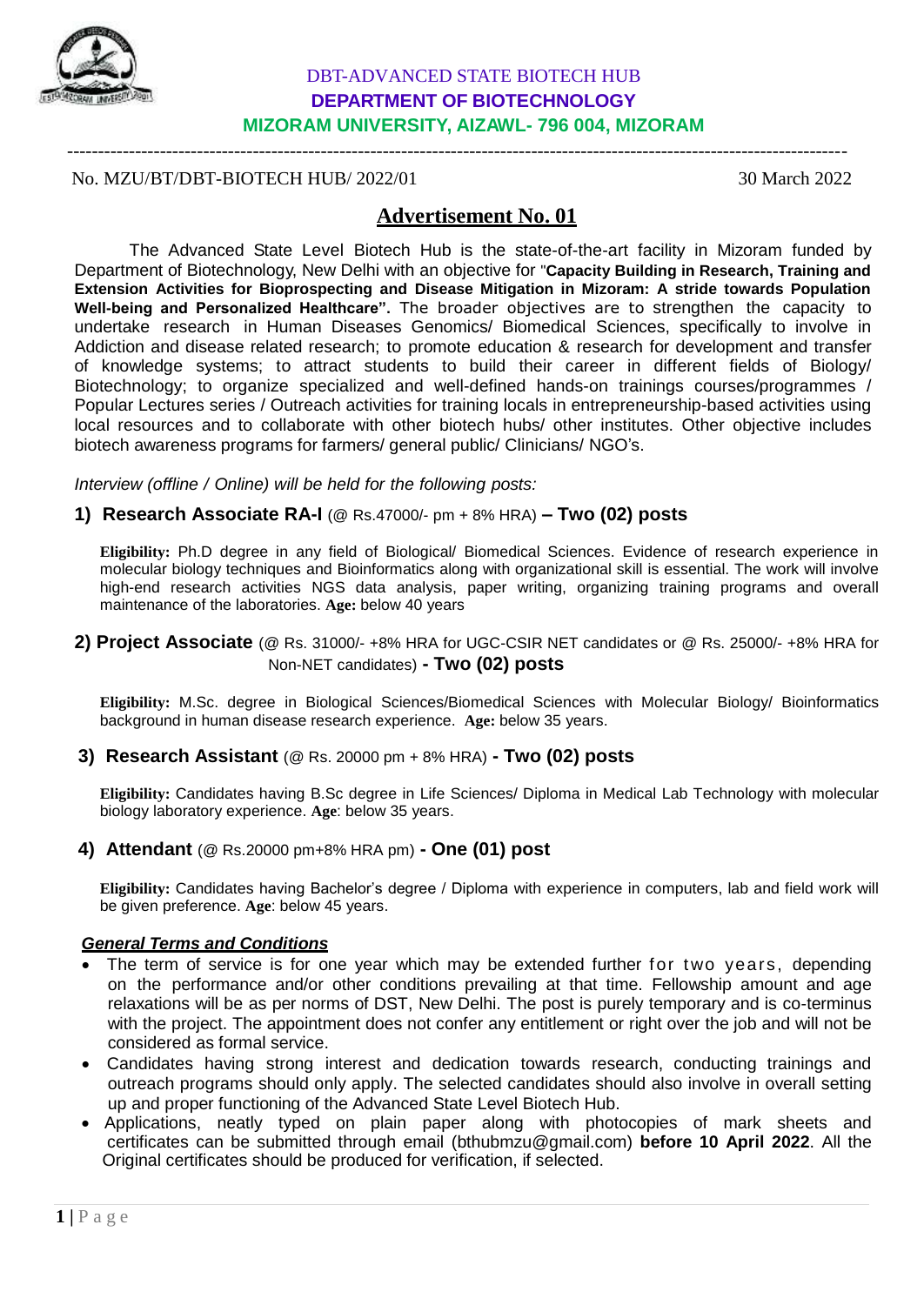

# DBT-ADVANCED STATE BIOTECH HUB **DEPARTMENT OF BIOTECHNOLOGY MIZORAM UNIVERSITY, AIZAWL- 796 004, MIZORAM**

------------------------------------------------------------------------------------------------------------------------------

## No. MZU/BT/DBT-BIOTECH HUB/ 2022/01 30 March 2022

# **Advertisement No. 01**

The Advanced State Level Biotech Hub is the state-of-the-art facility in Mizoram funded by Department of Biotechnology, New Delhi with an objective for "**Capacity Building in Research, Training and Extension Activities for Bioprospecting and Disease Mitigation in Mizoram: A stride towards Population Well-being and Personalized Healthcare".** The broader objectives are to strengthen the capacity to undertake research in Human Diseases Genomics/ Biomedical Sciences, specifically to involve in Addiction and disease related research; to promote education & research for development and transfer of knowledge systems; to attract students to build their career in different fields of Biology/ Biotechnology; to organize specialized and well-defined hands-on trainings courses/programmes / Popular Lectures series / Outreach activities for training locals in entrepreneurship-based activities using local resources and to collaborate with other biotech hubs/ other institutes. Other objective includes biotech awareness programs for farmers/ general public/ Clinicians/ NGO's.

*Interview (offline / Online) will be held for the following posts:*

## **1) Research Associate RA-I** (@ Rs.47000/- pm + 8% HRA) **– Two (02) posts**

**Eligibility:** Ph.D degree in any field of Biological/ Biomedical Sciences. Evidence of research experience in molecular biology techniques and Bioinformatics along with organizational skill is essential. The work will involve high-end research activities NGS data analysis, paper writing, organizing training programs and overall maintenance of the laboratories. **Age:** below 40 years

**2) Project Associate** (@ Rs. 31000/- +8% HRA for UGC-CSIR NET candidates or @ Rs. 25000/- +8% HRA for Non-NET candidates) **- Two (02) posts**

**Eligibility:** M.Sc. degree in Biological Sciences/Biomedical Sciences with Molecular Biology/ Bioinformatics background in human disease research experience. **Age:** below 35 years.

#### **3) Research Assistant** (@ Rs. 20000 pm + 8% HRA) **- Two (02) posts**

**Eligibility:** Candidates having B.Sc degree in Life Sciences/ Diploma in Medical Lab Technology with molecular biology laboratory experience. **Age**: below 35 years.

## **4) Attendant** (@ Rs.20000 pm+8% HRA pm) **- One (01) post**

**Eligibility:** Candidates having Bachelor's degree / Diploma with experience in computers, lab and field work will be given preference. **Age**: below 45 years.

## *General Terms and Conditions*

- The term of service is for one year which may be extended further for two years, depending on the performance and/or other conditions prevailing at that time. Fellowship amount and age relaxations will be as per norms of DST, New Delhi. The post is purely temporary and is co-terminus with the project. The appointment does not confer any entitlement or right over the job and will not be considered as formal service.
- Candidates having strong interest and dedication towards research, conducting trainings and outreach programs should only apply. The selected candidates should also involve in overall setting up and proper functioning of the Advanced State Level Biotech Hub.
- Applications, neatly typed on plain paper along with photocopies of mark sheets and certificates can be submitted through email [\(bthubmzu@gmail.com\)](mailto:bthubmzu@gmail.com) **before 10 April 2022**. All the Original certificates should be produced for verification, if selected.